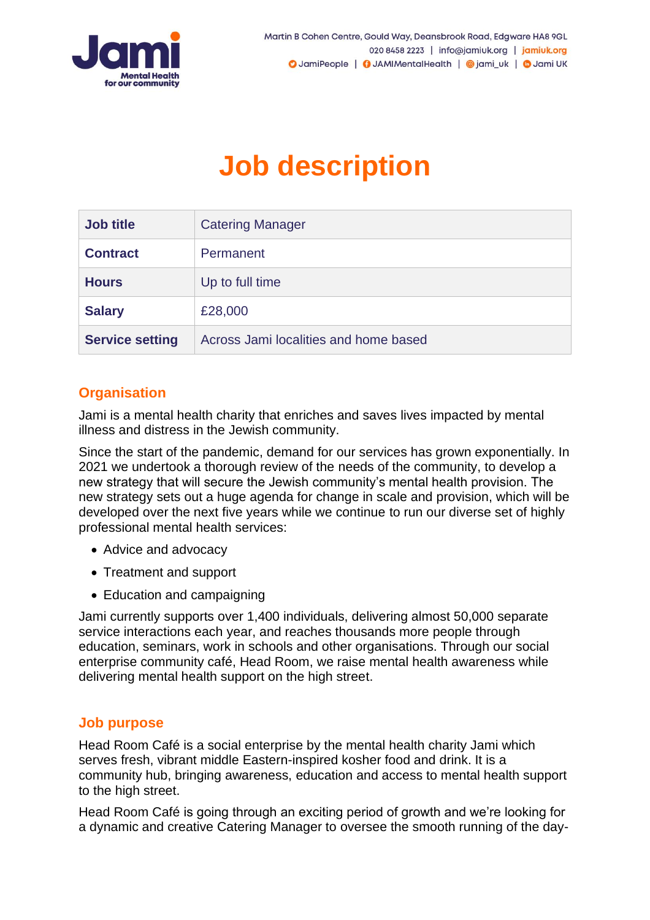

# **Job description**

| <b>Job title</b>       | <b>Catering Manager</b>               |
|------------------------|---------------------------------------|
| <b>Contract</b>        | Permanent                             |
| <b>Hours</b>           | Up to full time                       |
| <b>Salary</b>          | £28,000                               |
| <b>Service setting</b> | Across Jami localities and home based |

## **Organisation**

Jami is a mental health charity that enriches and saves lives impacted by mental illness and distress in the Jewish community.

Since the start of the pandemic, demand for our services has grown exponentially. In 2021 we undertook a thorough review of the needs of the community, to develop a new strategy that will secure the Jewish community's mental health provision. The new strategy sets out a huge agenda for change in scale and provision, which will be developed over the next five years while we continue to run our diverse set of highly professional mental health services:

- Advice and advocacy
- Treatment and support
- Education and campaigning

Jami currently supports over 1,400 individuals, delivering almost 50,000 separate service interactions each year, and reaches thousands more people through education, seminars, work in schools and other organisations. Through our social enterprise community café, Head Room, we raise mental health awareness while delivering mental health support on the high street.

## **Job purpose**

Head Room Café is a social enterprise by the mental health charity Jami which serves fresh, vibrant middle Eastern-inspired kosher food and drink. It is a community hub, bringing awareness, education and access to mental health support to the high street.

Head Room Café is going through an exciting period of growth and we're looking for a dynamic and creative Catering Manager to oversee the smooth running of the day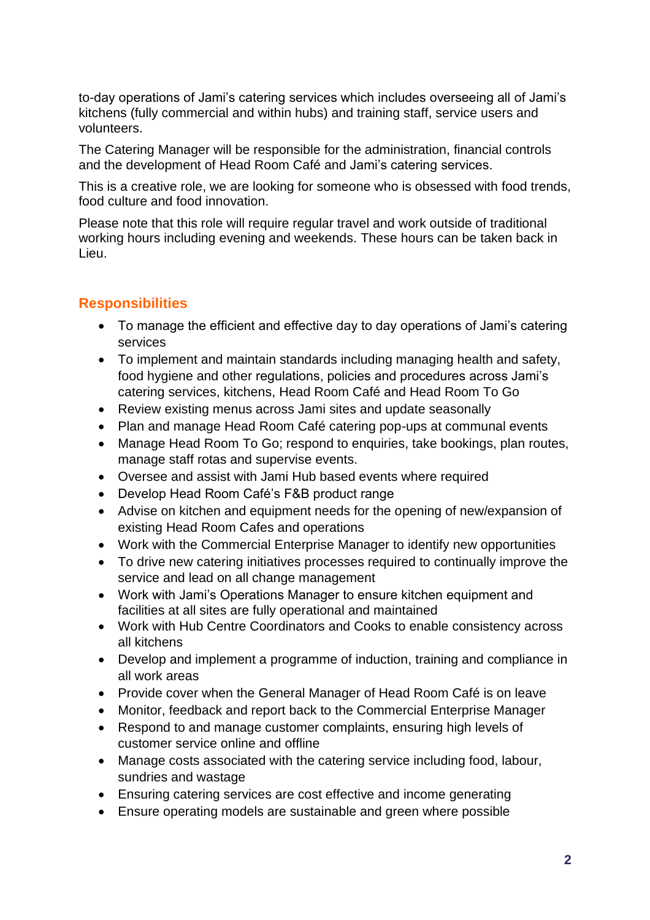to-day operations of Jami's catering services which includes overseeing all of Jami's kitchens (fully commercial and within hubs) and training staff, service users and volunteers.

The Catering Manager will be responsible for the administration, financial controls and the development of Head Room Café and Jami's catering services.

This is a creative role, we are looking for someone who is obsessed with food trends, food culture and food innovation.

Please note that this role will require regular travel and work outside of traditional working hours including evening and weekends. These hours can be taken back in Lieu.

## **Responsibilities**

- To manage the efficient and effective day to day operations of Jami's catering services
- To implement and maintain standards including managing health and safety, food hygiene and other regulations, policies and procedures across Jami's catering services, kitchens, Head Room Café and Head Room To Go
- Review existing menus across Jami sites and update seasonally
- Plan and manage Head Room Café catering pop-ups at communal events
- Manage Head Room To Go; respond to enquiries, take bookings, plan routes, manage staff rotas and supervise events.
- Oversee and assist with Jami Hub based events where required
- Develop Head Room Café's F&B product range
- Advise on kitchen and equipment needs for the opening of new/expansion of existing Head Room Cafes and operations
- Work with the Commercial Enterprise Manager to identify new opportunities
- To drive new catering initiatives processes required to continually improve the service and lead on all change management
- Work with Jami's Operations Manager to ensure kitchen equipment and facilities at all sites are fully operational and maintained
- Work with Hub Centre Coordinators and Cooks to enable consistency across all kitchens
- Develop and implement a programme of induction, training and compliance in all work areas
- Provide cover when the General Manager of Head Room Café is on leave
- Monitor, feedback and report back to the Commercial Enterprise Manager
- Respond to and manage customer complaints, ensuring high levels of customer service online and offline
- Manage costs associated with the catering service including food, labour, sundries and wastage
- Ensuring catering services are cost effective and income generating
- Ensure operating models are sustainable and green where possible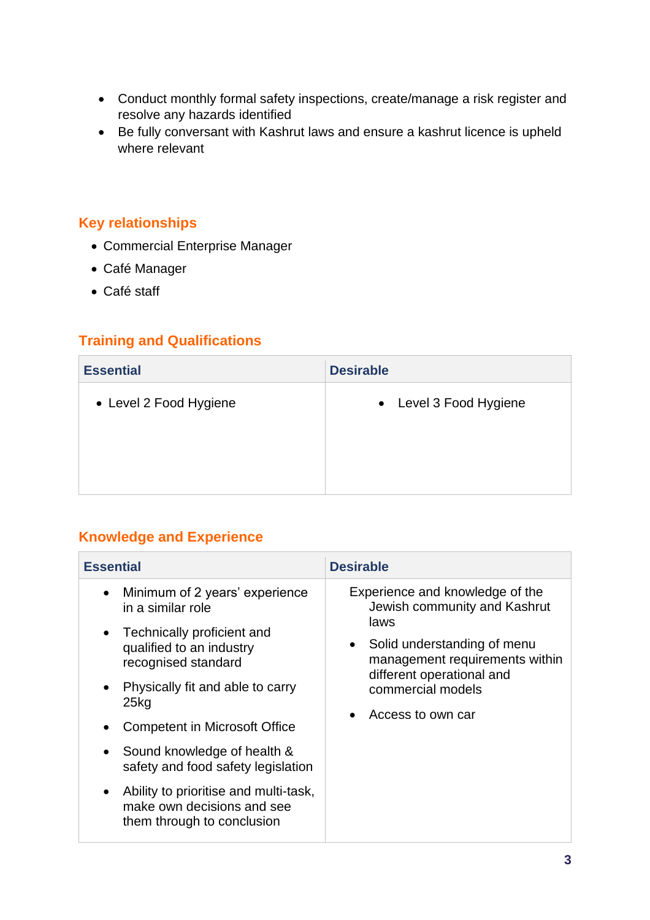- Conduct monthly formal safety inspections, create/manage a risk register and resolve any hazards identified
- Be fully conversant with Kashrut laws and ensure a kashrut licence is upheld where relevant

## **Key relationships**

- Commercial Enterprise Manager
- Café Manager
- Café staff

## **Training and Qualifications**

| <b>Essential</b>       | <b>Desirable</b>       |
|------------------------|------------------------|
| • Level 2 Food Hygiene | • Level 3 Food Hygiene |

## **Knowledge and Experience**

| <b>Essential</b>                                                                                               | <b>Desirable</b>                                                                                                                                                                                                  |
|----------------------------------------------------------------------------------------------------------------|-------------------------------------------------------------------------------------------------------------------------------------------------------------------------------------------------------------------|
| Minimum of 2 years' experience<br>$\bullet$<br>in a similar role                                               | Experience and knowledge of the<br>Jewish community and Kashrut<br>laws<br>• Solid understanding of menu<br>management requirements within<br>different operational and<br>commercial models<br>Access to own car |
| Technically proficient and<br>$\bullet$<br>qualified to an industry<br>recognised standard                     |                                                                                                                                                                                                                   |
| Physically fit and able to carry<br>25kg                                                                       |                                                                                                                                                                                                                   |
| <b>Competent in Microsoft Office</b>                                                                           |                                                                                                                                                                                                                   |
| Sound knowledge of health &<br>safety and food safety legislation                                              |                                                                                                                                                                                                                   |
| Ability to prioritise and multi-task,<br>$\bullet$<br>make own decisions and see<br>them through to conclusion |                                                                                                                                                                                                                   |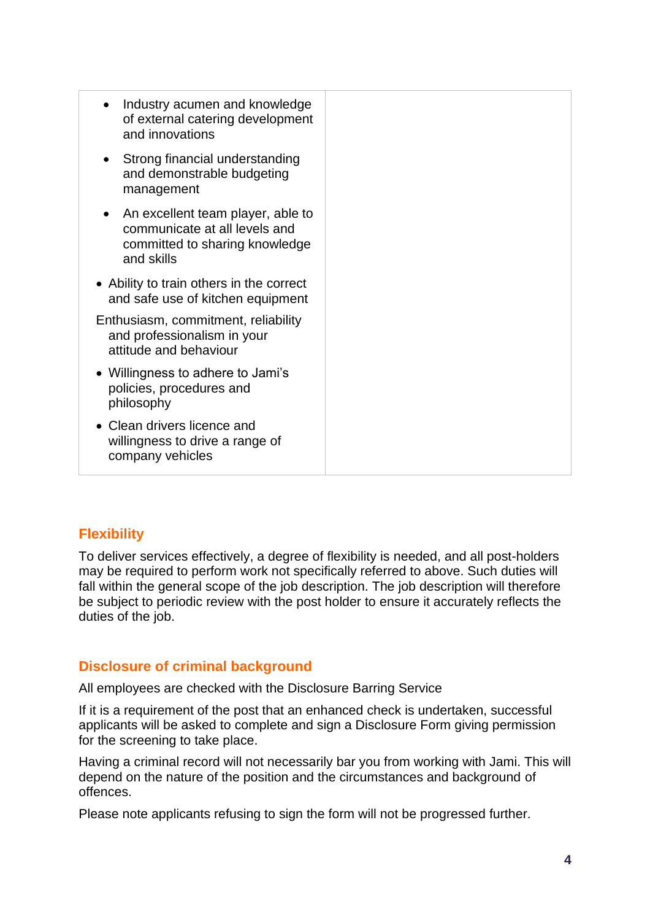| $\bullet$ | Industry acumen and knowledge<br>of external catering development<br>and innovations                               |
|-----------|--------------------------------------------------------------------------------------------------------------------|
|           | Strong financial understanding<br>and demonstrable budgeting<br>management                                         |
| $\bullet$ | An excellent team player, able to<br>communicate at all levels and<br>committed to sharing knowledge<br>and skills |
|           | • Ability to train others in the correct<br>and safe use of kitchen equipment                                      |
|           | Enthusiasm, commitment, reliability<br>and professionalism in your<br>attitude and behaviour                       |
|           | • Willingness to adhere to Jami's<br>policies, procedures and<br>philosophy                                        |
|           | • Clean drivers licence and<br>willingness to drive a range of<br>company vehicles                                 |
|           |                                                                                                                    |

## **Flexibility**

To deliver services effectively, a degree of flexibility is needed, and all post-holders may be required to perform work not specifically referred to above. Such duties will fall within the general scope of the job description. The job description will therefore be subject to periodic review with the post holder to ensure it accurately reflects the duties of the job.

## **Disclosure of criminal background**

All employees are checked with the Disclosure Barring Service

If it is a requirement of the post that an enhanced check is undertaken, successful applicants will be asked to complete and sign a Disclosure Form giving permission for the screening to take place.

Having a criminal record will not necessarily bar you from working with Jami. This will depend on the nature of the position and the circumstances and background of offences.

Please note applicants refusing to sign the form will not be progressed further.